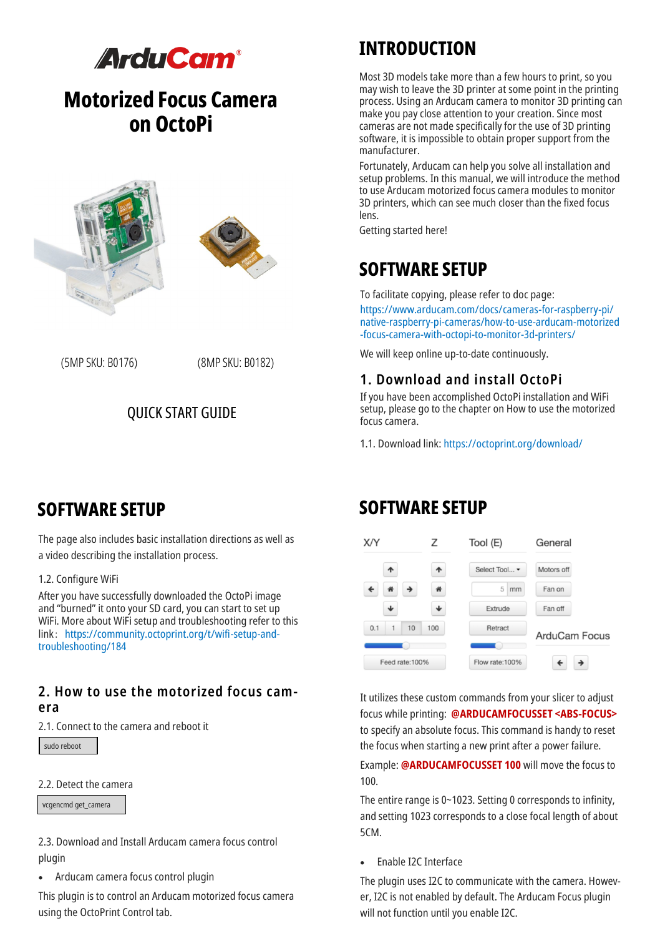

# **Motorized Focus Camera on OctoPi**





(5MP SKU: B0176) (8MP SKU: B0182)

### QUICK START GUIDE

## **INTRODUCTION**

Most 3D models take more than a few hours to print, so you may wish to leave the 3D printer at some point in the printing process. Using an Arducam camera to monitor 3D printing can make you pay close attention to your creation. Since most cameras are not made specifically for the use of 3D printing software, it is impossible to obtain proper support from the manufacturer.

Fortunately, Arducam can help you solve all installation and setup problems. In this manual, we will introduce the method to use Arducam motorized focus camera modules to monitor 3D printers, which can see much closer than the fixed focus lens.

Getting started here!

# **SOFTWARE SETUP**

To facilitate copying, please refer to doc page:

https://www.arducam.com/docs/cameras-for-raspberry-pi/ native-raspberry-pi-cameras/how-to-use-arducam-motorized -focus-camera-with-octopi-to-monitor-3d-printers/

We will keep online up-to-date continuously.

### **1. Download and install OctoPi**

If you have been accomplished OctoPi installation and WiFi setup, please go to the chapter on How to use the motorized focus camera.

1.1. Download link: https://octoprint.org/download/

### **SOFTWARE SETUP**

The page also includes basic installation directions as well as a video describing the installation process.

#### 1.2. Configure WiFi

After you have successfully downloaded the OctoPi image and "burned" it onto your SD card, you can start to set up WiFi. More about WiFi setup and troubleshooting refer to this link: https://community.octoprint.org/t/wifi-setup-andtroubleshooting/184

### **2. How to use the motorized focus camera**

2.1. Connect to the camera and reboot it

sudo reboot

#### 2.2. Detect the camera

vcgencmd get\_camera

2.3. Download and Install Arducam camera focus control plugin

• Arducam camera focus control plugin

This plugin is to control an Arducam motorized focus camera using the OctoPrint Control tab.

### **SOFTWARE SETUP**



It utilizes these custom commands from your slicer to adjust focus while printing: **@ARDUCAMFOCUSSET <ABS-FOCUS>** to specify an absolute focus. This command is handy to reset the focus when starting a new print after a power failure.

Example: **@ARDUCAMFOCUSSET 100** will move the focus to 100.

The entire range is 0~1023. Setting 0 corresponds to infinity, and setting 1023 corresponds to a close focal length of about 5CM.

• Enable I2C Interface

The plugin uses I2C to communicate with the camera. However, I2C is not enabled by default. The Arducam Focus plugin will not function until you enable I2C.